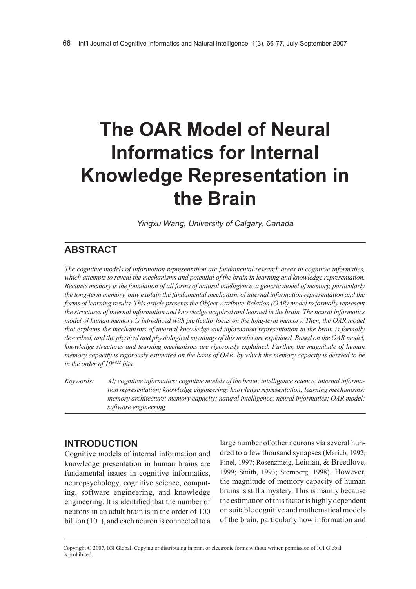# **The OAR Model of Neural Informatics for Internal Knowledge Representation in the Brain**

*Yingxu Wang, University of Calgary, Canada*

#### **Abstract**

*The cognitive models of information representation are fundamental research areas in cognitive informatics,*  which attempts to reveal the mechanisms and potential of the brain in learning and knowledge representation. *Because memory is the foundation of all forms of natural intelligence, a generic model of memory, particularly the long-term memory, may explain the fundamental mechanism of internal information representation and the forms of learning results. This article presents the Object-Attribute-Relation (OAR) model to formally represent the structures of internal information and knowledge acquired and learned in the brain. The neural informatics model of human memory is introduced with particular focus on the long-term memory. Then, the OAR model that explains the mechanisms of internal knowledge and information representation in the brain is formally described, and the physical and physiological meanings of this model are explained. Based on the OAR model, knowledge structures and learning mechanisms are rigorously explained. Further, the magnitude of human memory capacity is rigorously estimated on the basis of OAR, by which the memory capacity is derived to be in the order of 108,432 bits.* 

*Keywords: AI; cognitive informatics; cognitive models of the brain; intelligence science; internal information representation; knowledge engineering; knowledge representation; learning mechanisms; memory architecture; memory capacity; natural intelligence; neural informatics; OAR model; software engineering*

#### **Introduction**

Cognitive models of internal information and knowledge presentation in human brains are fundamental issues in cognitive informatics, neuropsychology, cognitive science, computing, software engineering, and knowledge engineering. It is identified that the number of neurons in an adult brain is in the order of 100 billion  $(10<sup>11</sup>)$ , and each neuron is connected to a

large number of other neurons via several hundred to a few thousand synapses (Marieb, 1992; Pinel, 1997; Rosenzmeig, Leiman, & Breedlove, 1999; Smith, 1993; Sternberg, 1998). However, the magnitude of memory capacity of human brains is still a mystery. This is mainly because the estimation of this factor is highly dependent on suitable cognitive and mathematical models of the brain, particularly how information and

Copyright © 2007, IGI Global. Copying or distributing in print or electronic forms without written permission of IGI Global is prohibited.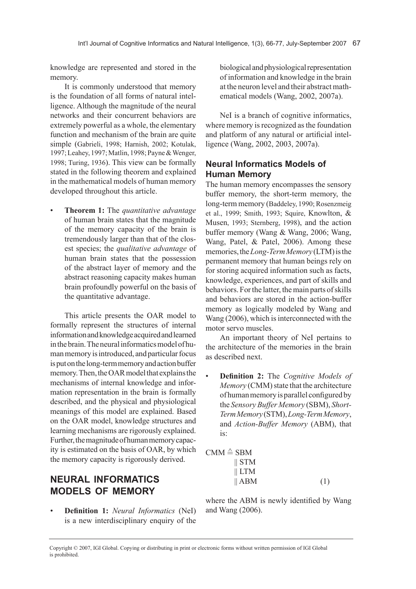knowledge are represented and stored in the memory.

It is commonly understood that memory is the foundation of all forms of natural intelligence. Although the magnitude of the neural networks and their concurrent behaviors are extremely powerful as a whole, the elementary function and mechanism of the brain are quite simple (Gabrieli, 1998; Harnish, 2002; Kotulak, 1997; Leahey, 1997; Matlin, 1998; Payne & Wenger, 1998; Turing, 1936). This view can be formally stated in the following theorem and explained in the mathematical models of human memory developed throughout this article.

• **Theorem 1:** The *quantitative advantage* of human brain states that the magnitude of the memory capacity of the brain is tremendously larger than that of the closest species; the *qualitative advantage* of human brain states that the possession of the abstract layer of memory and the abstract reasoning capacity makes human brain profoundly powerful on the basis of the quantitative advantage.

This article presents the OAR model to formally represent the structures of internal information and knowledge acquired and learned in the brain. The neural informatics model of human memory is introduced, and particular focus is put on the long-term memory and action buffer memory. Then, the OAR model that explains the mechanisms of internal knowledge and information representation in the brain is formally described, and the physical and physiological meanings of this model are explained. Based on the OAR model, knowledge structures and learning mechanisms are rigorously explained. Further, the magnitude of human memory capacity is estimated on the basis of OAR, by which the memory capacity is rigorously derived.

### **Neural Informatics Models of Memory**

• **Definition 1:** *Neural Informatics* (NeI) is a new interdisciplinary enquiry of the biological and physiological representation of information and knowledge in the brain at the neuron level and their abstract mathematical models (Wang, 2002, 2007a).

NeI is a branch of cognitive informatics, where memory is recognized as the foundation and platform of any natural or artificial intelligence (Wang, 2002, 2003, 2007a).

#### **Neural Informatics Models of Human Memory**

The human memory encompasses the sensory buffer memory, the short-term memory, the long-term memory (Baddeley, 1990; Rosenzmeig et al., 1999; Smith, 1993; Squire, Knowlton, & Musen, 1993; Sternberg, 1998), and the action buffer memory (Wang & Wang, 2006; Wang, Wang, Patel, & Patel, 2006). Among these memories, the *Long-Term Memory* (LTM) is the permanent memory that human beings rely on for storing acquired information such as facts, knowledge, experiences, and part of skills and behaviors. For the latter, the main parts of skills and behaviors are stored in the action-buffer memory as logically modeled by Wang and Wang (2006), which is interconnected with the motor servo muscles.

An important theory of NeI pertains to the architecture of the memories in the brain as described next.

• **Definition 2:** The *Cognitive Models of Memory* (CMM) state that the architecture of human memory is parallel configured by the *Sensory Buffer Memory* (SBM), *Short-Term Memory* (STM), *Long-Term Memory*, and *Action-Buffer Memory* (ABM), that is:

 $CMM \triangleq$  SBM || STM || LTM  $\parallel$  ABM (1)

where the ABM is newly identified by Wang and Wang (2006).

Copyright © 2007, IGI Global. Copying or distributing in print or electronic forms without written permission of IGI Global is prohibited.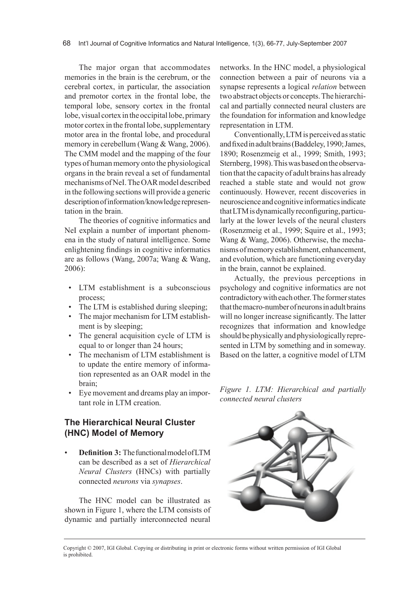The major organ that accommodates memories in the brain is the cerebrum, or the cerebral cortex, in particular, the association and premotor cortex in the frontal lobe, the temporal lobe, sensory cortex in the frontal lobe, visual cortex in the occipital lobe, primary motor cortex in the frontal lobe, supplementary motor area in the frontal lobe, and procedural memory in cerebellum (Wang & Wang, 2006). The CMM model and the mapping of the four types of human memory onto the physiological organs in the brain reveal a set of fundamental mechanisms of NeI. The OAR model described in the following sections will provide a generic description of information/knowledge representation in the brain.

The theories of cognitive informatics and NeI explain a number of important phenomena in the study of natural intelligence. Some enlightening findings in cognitive informatics are as follows (Wang, 2007a; Wang & Wang, 2006):

- LTM establishment is a subconscious process;
- The LTM is established during sleeping;
- The major mechanism for LTM establishment is by sleeping;
- The general acquisition cycle of LTM is equal to or longer than 24 hours;
- The mechanism of LTM establishment is to update the entire memory of information represented as an OAR model in the brain;
- Eye movement and dreams play an important role in LTM creation.

#### **The Hierarchical Neural Cluster (HNC) Model of Memory**

**Definition 3:** The functional model of LTM can be described as a set of *Hierarchical Neural Clusters* (HNCs) with partially connected *neurons* via *synapses*.

The HNC model can be illustrated as shown in Figure 1, where the LTM consists of dynamic and partially interconnected neural

networks. In the HNC model, a physiological connection between a pair of neurons via a synapse represents a logical *relation* between two abstract objects or concepts. The hierarchical and partially connected neural clusters are the foundation for information and knowledge representation in LTM.

Conventionally, LTM is perceived as static and fixed in adult brains (Baddeley, 1990; James, 1890; Rosenzmeig et al., 1999; Smith, 1993; Sternberg, 1998). This was based on the observation that the capacity of adult brains has already reached a stable state and would not grow continuously. However, recent discoveries in neuroscience and cognitive informatics indicate that LTM is dynamically reconfiguring, particularly at the lower levels of the neural clusters (Rosenzmeig et al., 1999; Squire et al., 1993; Wang & Wang, 2006). Otherwise, the mechanisms of memory establishment, enhancement, and evolution, which are functioning everyday in the brain, cannot be explained.

Actually, the previous perceptions in psychology and cognitive informatics are not contradictory with each other. The former states that the macro-number of neurons in adult brains will no longer increase significantly. The latter recognizes that information and knowledge should be physically and physiologically represented in LTM by something and in someway. Based on the latter, a cognitive model of LTM

*Figure 1. LTM: Hierarchical and partially connected neural clusters*



Copyright © 2007, IGI Global. Copying or distributing in print or electronic forms without written permission of IGI Global is prohibited.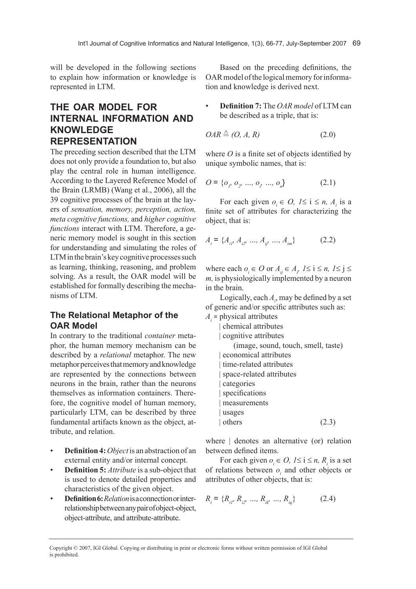will be developed in the following sections to explain how information or knowledge is represented in LTM.

## **The OAR Model for Internal Information and Knowledge Representation**

The preceding section described that the LTM does not only provide a foundation to, but also play the central role in human intelligence. According to the Layered Reference Model of the Brain (LRMB) (Wang et al., 2006), all the 39 cognitive processes of the brain at the layers of *sensation, memory, perception, action, meta cognitive functions,* and *higher cognitive functions* interact with LTM. Therefore, a generic memory model is sought in this section for understanding and simulating the roles of LTM in the brain's key cognitive processes such as learning, thinking, reasoning, and problem solving. As a result, the OAR model will be established for formally describing the mechanisms of LTM.

#### **The Relational Metaphor of the OAR Model**

In contrary to the traditional *container* metaphor, the human memory mechanism can be described by a *relational* metaphor. The new metaphor perceives that memory and knowledge are represented by the connections between neurons in the brain, rather than the neurons themselves as information containers. Therefore, the cognitive model of human memory, particularly LTM, can be described by three fundamental artifacts known as the object, attribute, and relation.

- **Definition 4:***Object* is an abstraction of an external entity and/or internal concept.
- **Definition 5:** *Attribute* is a sub-object that is used to denote detailed properties and characteristics of the given object.
- **Definition 6:***Relation* is a connection or interrelationship between any pair of object-object, object-attribute, and attribute-attribute.

Based on the preceding definitions, the OAR model of the logical memory for information and knowledge is derived next.

• **Definition 7:** The *OAR model* of LTM can be described as a triple, that is:

$$
OAR \triangleq (O, A, R) \tag{2.0}
$$

where *O* is a finite set of objects identified by unique symbolic names, that is:

$$
O = \{o_p, o_p, ..., o_p, ..., o_n\}
$$
 (2.1)

For each given  $o_i \in O$ ,  $1 \le i \le n$ ,  $A_i$  is a finite set of attributes for characterizing the object, that is:

$$
A_i = \{A_{i1}, A_{i2}, ..., A_{i j}, ..., A_{i m}\}
$$
 (2.2)

where each  $o_i \in O$  or  $A_{ij} \in A_i$ ,  $1 \le i \le n, 1 \le j \le n$ *m,* is physiologically implemented by a neuron in the brain.

Logically, each  $A_i$ , may be defined by a set of generic and/or specific attributes such as: *Ai* <sup>=</sup> physical attributes

| chemical attributes                 |  |
|-------------------------------------|--|
| cognitive attributes                |  |
| (image, sound, touch, smell, taste) |  |
| economical attributes               |  |
| time-related attributes             |  |
| space-related attributes            |  |
| categories                          |  |
| specifications                      |  |
| measurements                        |  |
| usages                              |  |
| others                              |  |
|                                     |  |

where | denotes an alternative (or) relation between defined items.

For each given  $o_i \in O$ ,  $1 \le i \le n$ ,  $R_i$  is a set of relations between  $o_i$  and other objects or attributes of other objects, that is:

$$
R_i = \{R_{i1}, R_{i2}, \dots, R_{ik}, \dots, R_{iq}\}
$$
 (2.4)

Copyright © 2007, IGI Global. Copying or distributing in print or electronic forms without written permission of IGI Global is prohibited.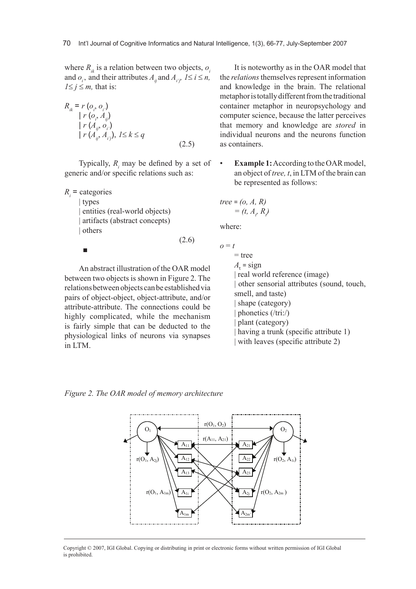where  $R_{ik}$  is a relation between two objects,  $o_i$ and  $o_i$ , and their attributes  $A_{ii}$  and  $A_{ij}$ ,  $1 \le i \le n$ ,  $1 \leq i \leq m$ , that is:

$$
R_{ik} = r(o_i, o_i, )
$$
  
\n
$$
\begin{vmatrix}\nr(o_i, A_{ij}) \\
r(A_{ij}, o_i, )\n\end{vmatrix}
$$
  
\n
$$
\begin{vmatrix}\nr(A_{ij}, A_{ij}), 1 \le k \le q\n\end{vmatrix}
$$
 (2.5)

Typically,  $R_i$  may be defined by a set of generic and/or specific relations such as:

$$
R_i = \text{categories}
$$
\n| types  
\n| entities (real-world objects)  
\n| artifacts (abstract concepts)  
\n| others

\n(2.6)

■

An abstract illustration of the OAR model between two objects is shown in Figure 2. The relations between objects can be established via pairs of object-object, object-attribute, and/or attribute-attribute. The connections could be highly complicated, while the mechanism is fairly simple that can be deducted to the physiological links of neurons via synapses in LTM.

It is noteworthy as in the OAR model that the *relations* themselves represent information and knowledge in the brain. The relational metaphor is totally different from the traditional container metaphor in neuropsychology and computer science, because the latter perceives that memory and knowledge are *stored* in individual neurons and the neurons function as containers.

**Example 1:** According to the OAR model, an object of *tree, t*, in LTM of the brain can be represented as follows:

$$
tree = (o, A, R)
$$

$$
= (t, A, R)
$$

where:

$$
o = t
$$
\n= tree\n
$$
A_t = sign
$$
\nreal world reference (image)\n| other sensorial attributes (sound, touch, small, and taste)\n| shape (category)\n| phonetics (*tri* : *h*)\n| plant (category)\n| having a trunk (specific attribute 1)\n| with leaves (specific attribute 2)

*Figure 2. The OAR model of memory architecture*



Copyright © 2007, IGI Global. Copying or distributing in print or electronic forms without written permission of IGI Global is prohibited.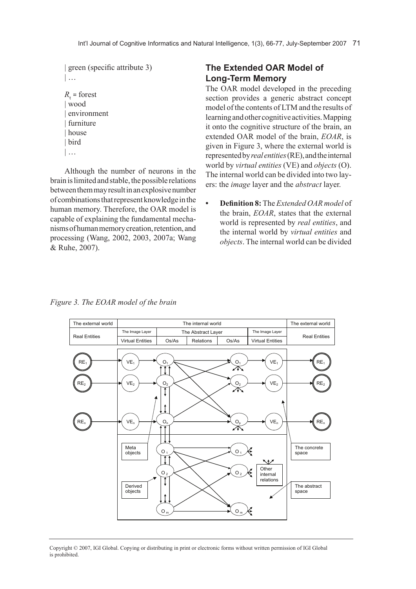```
| green (specific attribute 3)
| …
R_t = forest
```
| wood | environment | furniture house | bird | …

Although the number of neurons in the brain is limited and stable, the possible relations between them may result in an explosive number of combinations that represent knowledge in the human memory. Therefore, the OAR model is capable of explaining the fundamental mechanisms of human memory creation, retention, and processing (Wang, 2002, 2003, 2007a; Wang & Ruhe, 2007).

#### **The Extended OAR Model of Long-Term Memory**

The OAR model developed in the preceding section provides a generic abstract concept model of the contents of LTM and the results of learning and other cognitive activities. Mapping it onto the cognitive structure of the brain, an extended OAR model of the brain, *EOAR*, is given in Figure 3, where the external world is represented by *real entities* (RE), and the internal world by *virtual entities* (VE) and *objects* (O). The internal world can be divided into two layers: the *image* layer and the *abstract* layer.

**• Definition 8:** The *Extended OAR model* of the brain, *EOAR*, states that the external world is represented by *real entities*, and the internal world by *virtual entities* and *objects*. The internal world can be divided

*Figure 3. The EOAR model of the brain*



Copyright © 2007, IGI Global. Copying or distributing in print or electronic forms without written permission of IGI Global is prohibited.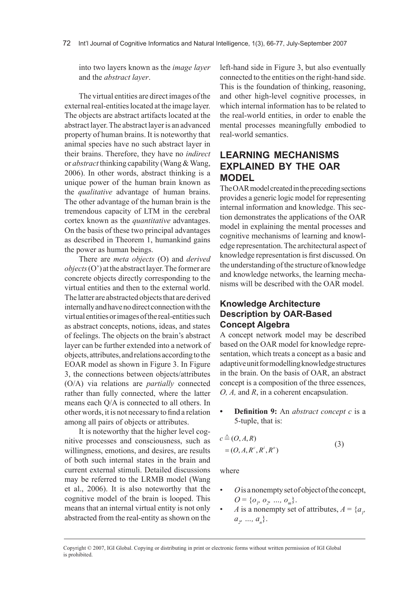into two layers known as the *image layer* and the *abstract layer*.

The virtual entities are direct images of the external real-entities located at the image layer. The objects are abstract artifacts located at the abstract layer. The abstract layer is an advanced property of human brains. It is noteworthy that animal species have no such abstract layer in their brains. Therefore, they have no *indirect* or *abstract* thinking capability (Wang & Wang, 2006). In other words, abstract thinking is a unique power of the human brain known as the *qualitative* advantage of human brains. The other advantage of the human brain is the tremendous capacity of LTM in the cerebral cortex known as the *quantitative* advantages. On the basis of these two principal advantages as described in Theorem 1, humankind gains the power as human beings.

There are *meta objects* (O) and *derived objects* (O') at the abstract layer. The former are concrete objects directly corresponding to the virtual entities and then to the external world. The latter are abstracted objects that are derived internally and have no direct connection with the virtual entities or images of the real-entities such as abstract concepts, notions, ideas, and states of feelings. The objects on the brain's abstract layer can be further extended into a network of objects, attributes, and relations according to the EOAR model as shown in Figure 3. In Figure 3, the connections between objects/attributes (O/A) via relations are *partially* connected rather than fully connected, where the latter means each Q/A is connected to all others. In other words, it is not necessary to find a relation among all pairs of objects or attributes.

It is noteworthy that the higher level cognitive processes and consciousness, such as willingness, emotions, and desires, are results of both such internal states in the brain and current external stimuli. Detailed discussions may be referred to the LRMB model (Wang et al., 2006). It is also noteworthy that the cognitive model of the brain is looped. This means that an internal virtual entity is not only abstracted from the real-entity as shown on the left-hand side in Figure 3, but also eventually connected to the entities on the right-hand side. This is the foundation of thinking, reasoning, and other high-level cognitive processes, in which internal information has to be related to the real-world entities, in order to enable the mental processes meaningfully embodied to real-world semantics.

## **Learning Mechanisms Explained by the OAR Model**

The OAR model created in the preceding sections provides a generic logic model for representing internal information and knowledge. This section demonstrates the applications of the OAR model in explaining the mental processes and cognitive mechanisms of learning and knowledge representation. The architectural aspect of knowledge representation is first discussed. On the understanding of the structure of knowledge and knowledge networks, the learning mechanisms will be described with the OAR model.

#### **Knowledge Architecture Description by OAR-Based Concept Algebra**

A concept network model may be described based on the OAR model for knowledge representation, which treats a concept as a basic and adaptive unit for modelling knowledge structures in the brain. On the basis of OAR, an abstract concept is a composition of the three essences, *O, A,* and *R*, in a coherent encapsulation.

**• Definition 9:** An *abstract concept c* is a 5-tuple, that is:

$$
c \triangleq (O, A, R)
$$
  
= (O, A, R<sup>c</sup>, R<sup>i</sup>, R<sup>o</sup>) (3)

where

- *O* is a nonempty set of object of the concept,  $O = \{o_p, o_2, ..., o_m\}.$
- *A* is a nonempty set of attributes,  $A = \{a_p\}$  $a_{2}, ..., a_{n}$ .

Copyright © 2007, IGI Global. Copying or distributing in print or electronic forms without written permission of IGI Global is prohibited.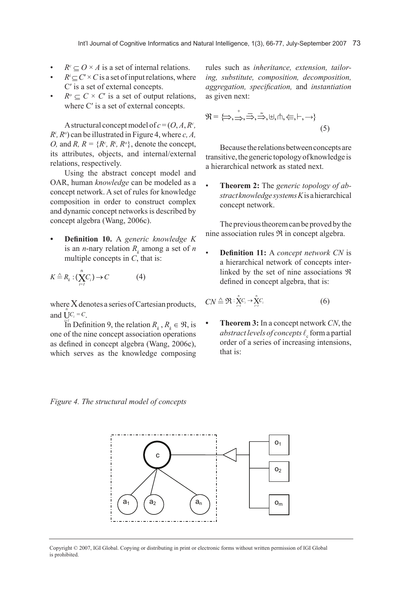- $R^c \subseteq O \times A$  is a set of internal relations.
- $R^i \subseteq C' \times C$  is a set of input relations, where C' is a set of external concepts.
- $R^{\circ} \subset C \times C'$  is a set of output relations, where C' is a set of external concepts.

A structural concept model of  $c = (O, A, R^c)$ ,  $R^i$ ,  $R^o$ ) can be illustrated in Figure 4, where *c*, *A*, *O,* and *R, R* =  $\{R^c, R^i, R^o\}$ , denote the concept, its attributes, objects, and internal/external relations, respectively.

Using the abstract concept model and OAR, human *knowledge* can be modeled as a concept network. A set of rules for knowledge composition in order to construct complex and dynamic concept networks is described by concept algebra (Wang, 2006c).

*•* **Definition 10.** A *generic knowledge K* is an *n*-nary relation  $R_k$  among a set of *n* multiple concepts in *C*, that is:

$$
K \stackrel{\triangle}{=} R_k : (\sum_{i=1}^n C_i) \to C \tag{4}
$$

where  $X$  denotes a series of Cartesian products, and  $\bigcup_{i=1}^{n} C_i = C$ .

In Definition 9, the relation  $R_k$ ,  $R_k \in \mathfrak{R}$ , is one of the nine concept association operations as defined in concept algebra (Wang, 2006c), which serves as the knowledge composing

rules such as *inheritance, extension, tailoring, substitute, composition, decomposition, aggregation, specification,* and *instantiation* as given next:

$$
\mathfrak{R} = \{\Rightarrow, \stackrel{+}{\Rightarrow}, \stackrel{-}{\Rightarrow}, \stackrel{\sim}{\Rightarrow}, \uplus, \uparrow \uparrow, \Leftarrow, \vdash, \rightarrow\}
$$
(5)

Because the relations between concepts are transitive, the generic topology of knowledge is a hierarchical network as stated next.

• **Theorem 2:** The *generic topology of abstract knowledge systemsK* is a hierarchical concept network.

The previous theorem can be proved by the nine association rules  $\Re$  in concept algebra.

• **Definition 11:** A *concept network CN* is a hierarchical network of concepts interlinked by the set of nine associations ℜ defined in concept algebra, that is:

$$
CN \triangleq \mathfrak{R} : \underset{i=1}{\overset{n}{\mathbf{X}}} C_i \to \underset{i=1}{\overset{n}{\mathbf{X}}} C_i
$$
 (6)

**• Theorem 3:** In a concept network *CN*, the *abstract levels of concepts*  $\ell_{\text{c}}$  *form a partial* order of a series of increasing intensions, that is:

*Figure 4. The structural model of concepts* 



Copyright © 2007, IGI Global. Copying or distributing in print or electronic forms without written permission of IGI Global is prohibited.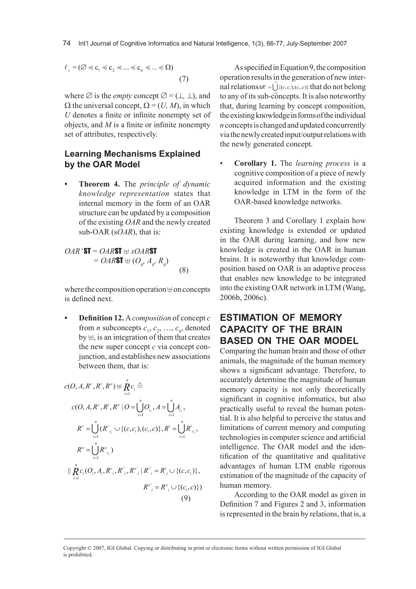$$
\ell_c = (\emptyset \preccurlyeq c_1 \preccurlyeq c_2 \preccurlyeq \dots \preccurlyeq c_n \preccurlyeq \dots \preccurlyeq \Omega)
$$
\n
$$
(7)
$$

where  $\emptyset$  is the *empty* concept  $\emptyset = (\perp, \perp)$ , and  $Ω$  the universal concept,  $Ω = (U, M)$ , in which *U* denotes a finite or infinite nonempty set of objects, and *M* is a finite or infinite nonempty set of attributes, respectively.

#### **Learning Mechanisms Explained by the OAR Model**

**• Theorem 4.** The *principle of dynamic knowledge representation* states that internal memory in the form of an OAR structure can be updated by a composition of the existing *OAR* and the newly created sub-OAR (s*OAR*), that is:

$$
OAR' ST = OARST \oplus sOARST
$$
  
= OARST  $\oplus (O_s, A_s, R_s)$  (8)

where the composition operation  $\forall$  on concepts is defined next.

**• Definition 12.** A *composition* of concept *c* from *n* subconcepts  $c_1, c_2, ..., c_n$ , denoted  $by \oplus$ , is an integration of them that creates the new super concept *c* via concept conjunction, and establishes new associations between them, that is:

$$
c(O, A, R^c, R^i, R^o) \cup \prod_{i=1}^n c_i \stackrel{\triangle}{=} c(O, A, R^c, R^i, R^o | O = \bigcup_{i=1}^n O_{c_i}, A = \bigcup_{i=1}^n A_{c_i}, R^c = \bigcup_{i=1}^n (R^c_{c_i} \cup \{(c, c_i), (c_i, c)\}, R^i = \bigcup_{i=1}^n R^i_{c_i}, R^o = \bigcup_{i=1}^n R^o_{c_i}) \n|| \bigcap_{i=1}^n c_i (O_i, A_i, R^c_i, R^i_i, R^o_i | R^i_i = R^i_i \cup \{(c, c_i)\}, R^o_i = R^o_i \cup \{(c_i, c)\})
$$
\n(9)

As specified in Equation 9, the composition operation results in the generation of new inter- $\text{rad}$  relations $\Delta R^c = \bigcup_{i=1}^{n} \{(c, c_i), (c_i, c)\}$  that do not belong to any of its sub-concepts. It is also noteworthy that, during learning by concept composition, the existing knowledge in forms of the individual *n* concepts is changed and updated concurrently via the newly created input/output relations with the newly generated concept.

• **Corollary 1.** The *learning process* is a cognitive composition of a piece of newly acquired information and the existing knowledge in LTM in the form of the OAR-based knowledge networks.

Theorem 3 and Corollary 1 explain how existing knowledge is extended or updated in the OAR during learning, and how new knowledge is created in the OAR in human brains. It is noteworthy that knowledge composition based on OAR is an adaptive process that enables new knowledge to be integrated into the existing OAR network in LTM (Wang, 2006b, 2006c).

## **Estimation of Memory Capacity of the Brain Based on the OAR Model**

Comparing the human brain and those of other animals, the magnitude of the human memory shows a significant advantage. Therefore, to accurately determine the magnitude of human memory capacity is not only theoretically significant in cognitive informatics, but also practically useful to reveal the human potential. It is also helpful to perceive the status and limitations of current memory and computing technologies in computer science and artificial intelligence. The OAR model and the identification of the quantitative and qualitative advantages of human LTM enable rigorous estimation of the magnitude of the capacity of human memory.

According to the OAR model as given in Definition 7 and Figures 2 and 3, information is represented in the brain by relations, that is, a

Copyright © 2007, IGI Global. Copying or distributing in print or electronic forms without written permission of IGI Global is prohibited.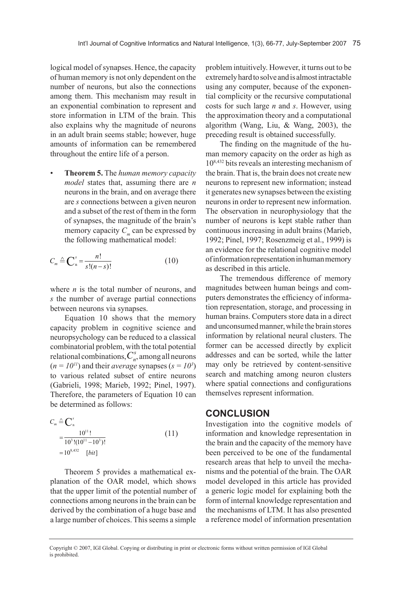logical model of synapses. Hence, the capacity of human memory is not only dependent on the number of neurons, but also the connections among them. This mechanism may result in an exponential combination to represent and store information in LTM of the brain. This also explains why the magnitude of neurons in an adult brain seems stable; however, huge amounts of information can be remembered throughout the entire life of a person.

• **Theorem 5.** The *human memory capacity model* states that, assuming there are *n* neurons in the brain, and on average there are *s* connections between a given neuron and a subset of the rest of them in the form of synapses, the magnitude of the brain's memory capacity  $C_m$  can be expressed by the following mathematical model:

$$
C_m \triangleq \mathbf{C}_n^s = \frac{n!}{s!(n-s)!} \tag{10}
$$

where *n* is the total number of neurons, and *s* the number of average partial connections between neurons via synapses.

Equation 10 shows that the memory capacity problem in cognitive science and neuropsychology can be reduced to a classical combinatorial problem, with the total potential relational combinations,  $C_n^s$ , among all neurons  $(n = 10^{11})$  and their *average* synapses  $(s = 10^3)$ to various related subset of entire neurons (Gabrieli, 1998; Marieb, 1992; Pinel, 1997). Therefore, the parameters of Equation 10 can be determined as follows:

$$
C_m \triangleq \mathbf{C}^s
$$
  
= 
$$
\frac{10^{11}!}{10^3!(10^{11}-10^3)!}
$$
  
= 
$$
10^{8,432} \quad [bit]
$$
 (11)

Theorem 5 provides a mathematical explanation of the OAR model, which shows that the upper limit of the potential number of connections among neurons in the brain can be derived by the combination of a huge base and a large number of choices. This seems a simple

problem intuitively. However, it turns out to be extremely hard to solve and is almost intractable using any computer, because of the exponential complicity or the recursive computational costs for such large *n* and *s*. However, using the approximation theory and a computational algorithm (Wang, Liu, & Wang, 2003), the preceding result is obtained successfully.

The finding on the magnitude of the human memory capacity on the order as high as 108,432 bits reveals an interesting mechanism of the brain. That is, the brain does not create new neurons to represent new information; instead it generates new synapses between the existing neurons in order to represent new information. The observation in neurophysiology that the number of neurons is kept stable rather than continuous increasing in adult brains (Marieb, 1992; Pinel, 1997; Rosenzmeig et al., 1999) is an evidence for the relational cognitive model of information representation in human memory as described in this article.

The tremendous difference of memory magnitudes between human beings and computers demonstrates the efficiency of information representation, storage, and processing in human brains. Computers store data in a direct and unconsumed manner, while the brain stores information by relational neural clusters. The former can be accessed directly by explicit addresses and can be sorted, while the latter may only be retrieved by content-sensitive search and matching among neuron clusters where spatial connections and configurations themselves represent information.

#### **Conclusion**

Investigation into the cognitive models of information and knowledge representation in the brain and the capacity of the memory have been perceived to be one of the fundamental research areas that help to unveil the mechanisms and the potential of the brain. The OAR model developed in this article has provided a generic logic model for explaining both the form of internal knowledge representation and the mechanisms of LTM. It has also presented a reference model of information presentation

Copyright © 2007, IGI Global. Copying or distributing in print or electronic forms without written permission of IGI Global is prohibited.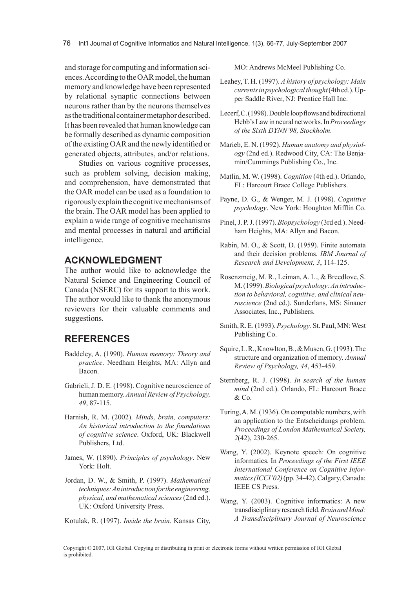and storage for computing and information sciences. According to the OAR model, the human memory and knowledge have been represented by relational synaptic connections between neurons rather than by the neurons themselves as the traditional container metaphor described. It has been revealed that human knowledge can be formally described as dynamic composition of the existing OAR and the newly identified or generated objects, attributes, and/or relations.

Studies on various cognitive processes, such as problem solving, decision making, and comprehension, have demonstrated that the OAR model can be used as a foundation to rigorously explain the cognitive mechanisms of the brain. The OAR model has been applied to explain a wide range of cognitive mechanisms and mental processes in natural and artificial intelligence.

#### **Acknowledgment**

The author would like to acknowledge the Natural Science and Engineering Council of Canada (NSERC) for its support to this work. The author would like to thank the anonymous reviewers for their valuable comments and suggestions.

#### **References**

- Baddeley, A. (1990). *Human memory: Theory and practice*. Needham Heights, MA: Allyn and Bacon.
- Gabrieli, J. D. E. (1998). Cognitive neuroscience of human memory. *Annual Review of Psychology, 49*, 87-115.
- Harnish, R. M. (2002). *Minds, brain, computers: An historical introduction to the foundations of cognitive science*. Oxford, UK: Blackwell Publishers, Ltd.
- James, W. (1890). *Principles of psychology*. New York: Holt.
- Jordan, D. W., & Smith, P. (1997). *Mathematical techniques: An introduction for the engineering, physical, and mathematical sciences* (2nd ed.). UK: Oxford University Press.
- Kotulak, R. (1997). *Inside the brain*. Kansas City,

MO: Andrews McMeel Publishing Co.

- Leahey, T. H. (1997). *A history of psychology: Main currents in psychological thought* (4th ed.). Upper Saddle River, NJ: Prentice Hall Inc.
- Lecerf, C. (1998). Double loop flows and bidirectional Hebb's Law in neural networks. In *Proceedings of the Sixth DYNN'98, Stockholm*.
- Marieb, E. N. (1992). *Human anatomy and physiology* (2nd ed.). Redwood City, CA: The Benjamin/Cummings Publishing Co., Inc.
- Matlin, M. W. (1998). *Cognition* (4th ed.). Orlando, FL: Harcourt Brace College Publishers.
- Payne, D. G., & Wenger, M. J. (1998). *Cognitive psychology*. New York: Houghton Mifflin Co.
- Pinel, J. P. J. (1997). *Biopsychology* (3rd ed.). Needham Heights, MA: Allyn and Bacon.
- Rabin, M. O., & Scott, D. (1959). Finite automata and their decision problems. *IBM Journal of Research and Development, 3*, 114-125.
- Rosenzmeig, M. R., Leiman, A. L., & Breedlove, S. M. (1999). *Biological psychology: An introduction to behavioral, cognitive, and clinical neuroscience* (2nd ed.). Sunderlans, MS: Sinauer Associates, Inc., Publishers.
- Smith, R. E. (1993). *Psychology*. St. Paul, MN: West Publishing Co.
- Squire, L. R., Knowlton, B., & Musen, G. (1993). The structure and organization of memory. *Annual Review of Psychology, 44*, 453-459.
- Sternberg, R. J. (1998). *In search of the human mind* (2nd ed.). Orlando, FL: Harcourt Brace & Co.
- Turing, A. M. (1936). On computable numbers, with an application to the Entscheidungs problem. *Proceedings of London Mathematical Society, 2*(42), 230-265.
- Wang, Y. (2002). Keynote speech: On cognitive informatics. In *Proceedings of the First IEEE International Conference on Cognitive Informatics (ICCI'02)* (pp. 34-42). Calgary, Canada: IEEE CS Press.
- Wang, Y. (2003). Cognitive informatics: A new transdisciplinary research field. *Brain and Mind: A Transdisciplinary Journal of Neuroscience*

Copyright © 2007, IGI Global. Copying or distributing in print or electronic forms without written permission of IGI Global is prohibited.